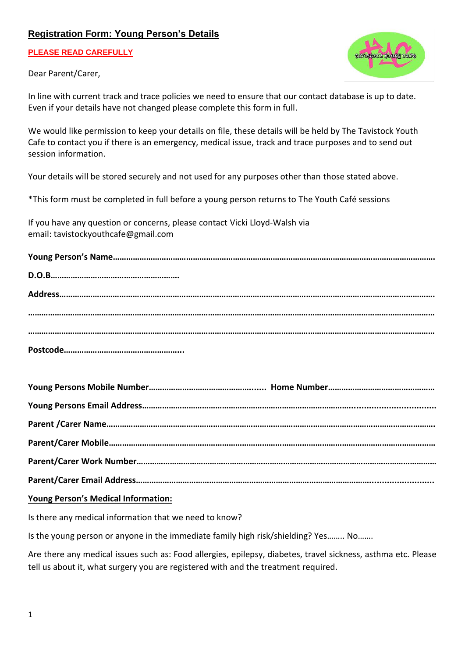## **Registration Form: Young Person's Details**

**PLEASE READ CAREFULLY**



Dear Parent/Carer,

In line with current track and trace policies we need to ensure that our contact database is up to date. Even if your details have not changed please complete this form in full.

We would like permission to keep your details on file, these details will be held by The Tavistock Youth Cafe to contact you if there is an emergency, medical issue, track and trace purposes and to send out session information.

Your details will be stored securely and not used for any purposes other than those stated above.

\*This form must be completed in full before a young person returns to The Youth Café sessions

If you have any question or concerns, please contact Vicki Lloyd-Walsh via email: tavistockyouthcafe@gmail.com

## **Young Person's Medical Information:**

Is there any medical information that we need to know?

Is the young person or anyone in the immediate family high risk/shielding? Yes…….. No…….

Are there any medical issues such as: Food allergies, epilepsy, diabetes, travel sickness, asthma etc. Please tell us about it, what surgery you are registered with and the treatment required.